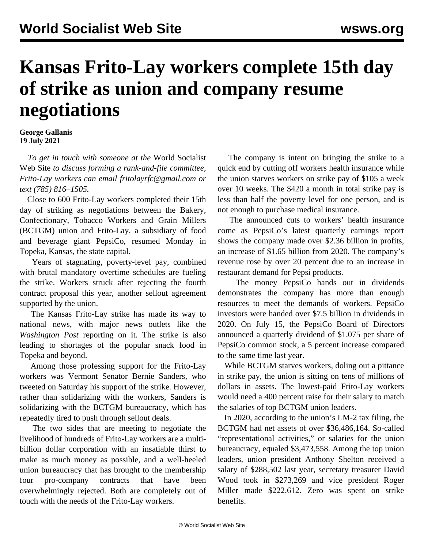## **Kansas Frito-Lay workers complete 15th day of strike as union and company resume negotiations**

## **George Gallanis 19 July 2021**

 *To get in touch with someone at the* World Socialist Web Site *to discuss forming a rank-and-file committee, Frito-Lay workers can email [fritolayrfc@gmail.com](mailto:fritolayrfc@gmail.com) or text (785) 816–1505.*

 Close to 600 Frito-Lay workers completed their 15th day of striking as negotiations between the Bakery, Confectionary, Tobacco Workers and Grain Millers (BCTGM) union and Frito-Lay, a subsidiary of food and beverage giant PepsiCo, resumed Monday in Topeka, Kansas, the state capital.

 Years of stagnating, poverty-level pay, combined with brutal mandatory overtime schedules are fueling the strike. Workers struck after rejecting the fourth contract proposal this year, another sellout agreement supported by the union.

 The Kansas Frito-Lay strike has made its way to national news, with major news outlets like the *Washington Post* reporting on it. The strike is also leading to shortages of the popular snack food in Topeka and beyond.

 Among those professing support for the Frito-Lay workers was Vermont Senator Bernie Sanders, who tweeted on Saturday his support of the strike. However, rather than solidarizing with the workers, Sanders is solidarizing with the BCTGM bureaucracy, which has repeatedly tired to push through sellout deals.

 The two sides that are meeting to negotiate the livelihood of hundreds of Frito-Lay workers are a multibillion dollar corporation with an insatiable thirst to make as much money as possible, and a well-heeled union bureaucracy that has brought to the membership four pro-company contracts that have been overwhelmingly rejected. Both are completely out of touch with the needs of the Frito-Lay workers.

 The company is intent on bringing the strike to a quick end by cutting off workers health insurance while the union starves workers on strike pay of \$105 a week over 10 weeks. The \$420 a month in total strike pay is less than half the poverty level for one person, and is not enough to purchase medical insurance.

 The announced cuts to workers' health insurance come as PepsiCo's latest quarterly earnings report shows the company made over \$2.36 billion in profits, an increase of \$1.65 billion from 2020. The company's revenue rose by over 20 percent due to an increase in restaurant demand for Pepsi products.

 The money PepsiCo hands out in dividends demonstrates the company has more than enough resources to meet the demands of workers. PepsiCo investors were handed over \$7.5 billion in dividends in 2020. On July 15, the PepsiCo Board of Directors announced a quarterly dividend of \$1.075 per share of PepsiCo common stock, a 5 percent increase compared to the same time last year.

 While BCTGM starves workers, doling out a pittance in strike pay, the union is sitting on tens of millions of dollars in assets. The lowest-paid Frito-Lay workers would need a 400 percent raise for their salary to match the salaries of top BCTGM union leaders.

 In 2020, according to the union's [LM-2 tax filing,](https://olmsapps.dol.gov/query/orgReport.do?rptId=749811&rptForm=LM2Form) the BCTGM had net assets of over \$36,486,164. So-called "representational activities," or salaries for the union bureaucracy, equaled \$3,473,558. Among the top union leaders, union president Anthony Shelton received a salary of \$288,502 last year, secretary treasurer David Wood took in \$273,269 and vice president Roger Miller made \$222,612. Zero was spent on strike benefits.